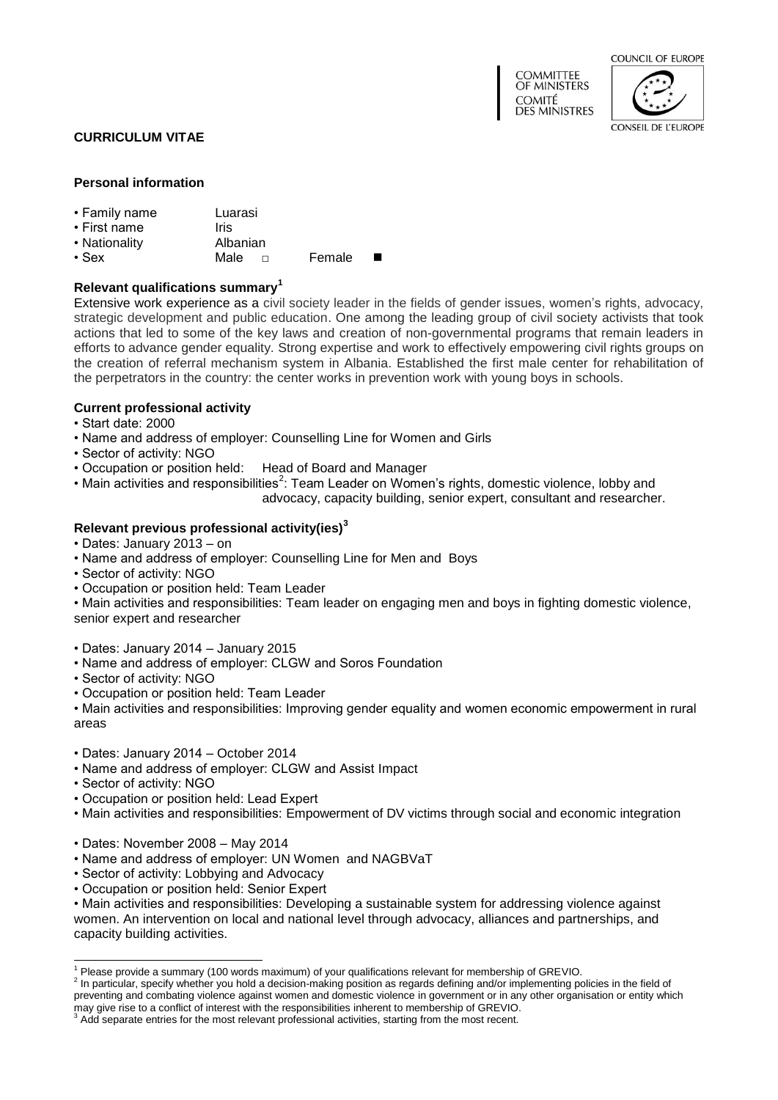| <b>COMMITTEE</b><br>OF MINISTERS      |  |
|---------------------------------------|--|
| <b>COMITÉ</b><br><b>DES MINISTRES</b> |  |



CONSEIL DE L'ELIROPE

**CURRICULUM VITAE**

#### **Personal information**

- Family name Luarasi
- First name Iris
- Nationality **Albanian**<br>• Sex **Male** Male  $\Box$  Female ■
- 

# **Relevant qualifications summary<sup>1</sup>**

Extensive work experience as a civil society leader in the fields of gender issues, women's rights, advocacy, strategic development and public education. One among the leading group of civil society activists that took actions that led to some of the key laws and creation of non-governmental programs that remain leaders in efforts to advance gender equality. Strong expertise and work to effectively empowering civil rights groups on the creation of referral mechanism system in Albania. Established the first male center for rehabilitation of the perpetrators in the country: the center works in prevention work with young boys in schools.

## **Current professional activity**

- Start date: 2000
- Name and address of employer: Counselling Line for Women and Girls
- Sector of activity: NGO
- Occupation or position held: Head of Board and Manager
- Main activities and responsibilities<sup>2</sup>: Team Leader on Women's rights, domestic violence, lobby and advocacy, capacity building, senior expert, consultant and researcher.

# **Relevant previous professional activity(ies)<sup>3</sup>**

- Dates: January 2013 on
- Name and address of employer: Counselling Line for Men and Boys
- Sector of activity: NGO
- Occupation or position held: Team Leader

• Main activities and responsibilities: Team leader on engaging men and boys in fighting domestic violence, senior expert and researcher

- Dates: January 2014 January 2015
- Name and address of employer: CLGW and Soros Foundation
- Sector of activity: NGO
- Occupation or position held: Team Leader

• Main activities and responsibilities: Improving gender equality and women economic empowerment in rural areas

- Dates: January 2014 October 2014
- Name and address of employer: CLGW and Assist Impact
- Sector of activity: NGO

-

- Occupation or position held: Lead Expert
- Main activities and responsibilities: Empowerment of DV victims through social and economic integration
- Dates: November 2008 May 2014
- Name and address of employer: UN Women and NAGBVaT
- Sector of activity: Lobbying and Advocacy
- Occupation or position held: Senior Expert

• Main activities and responsibilities: Developing a sustainable system for addressing violence against women. An intervention on local and national level through advocacy, alliances and partnerships, and capacity building activities.

<sup>&</sup>lt;sup>1</sup> Please provide a summary (100 words maximum) of your qualifications relevant for membership of GREVIO.

 $<sup>2</sup>$  In particular, specify whether you hold a decision-making position as regards defining and/or implementing policies in the field of</sup> preventing and combating violence against women and domestic violence in government or in any other organisation or entity which may give rise to a conflict of interest with the responsibilities inherent to membership of GREVIO.

<sup>3</sup> Add separate entries for the most relevant professional activities, starting from the most recent.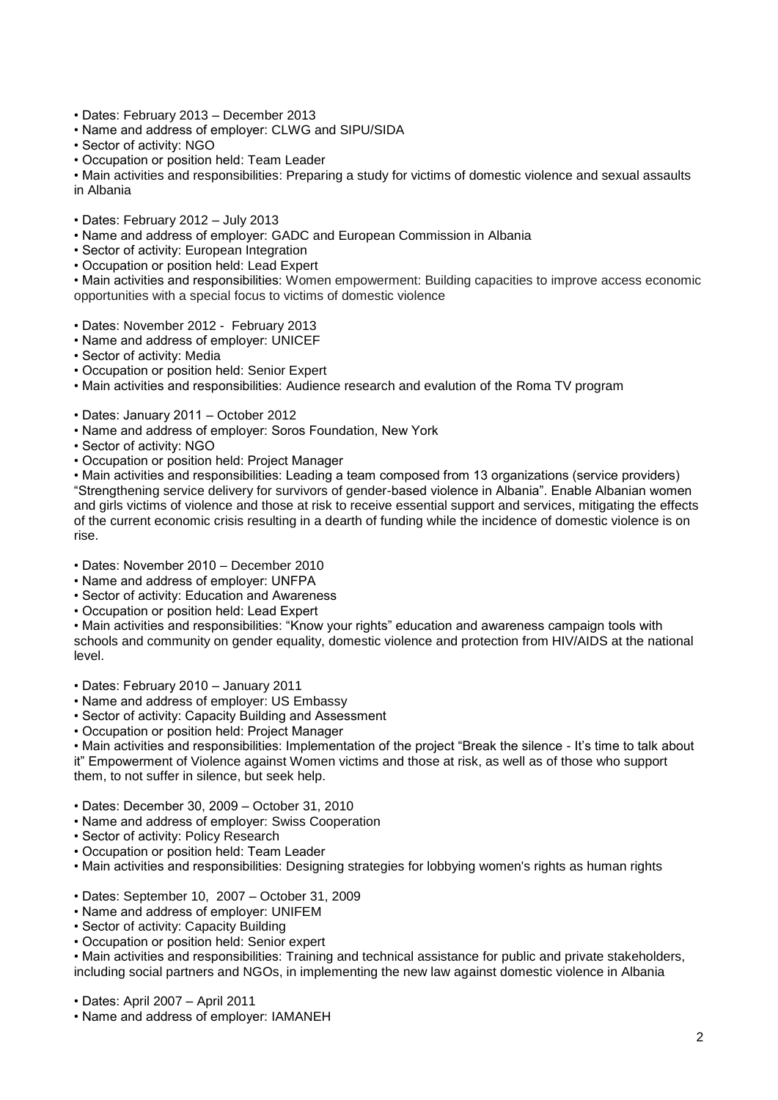- Dates: February 2013 December 2013
- Name and address of employer: CLWG and SIPU/SIDA
- Sector of activity: NGO
- Occupation or position held: Team Leader

• Main activities and responsibilities: Preparing a study for victims of domestic violence and sexual assaults in Albania

- Dates: February 2012 July 2013
- Name and address of employer: GADC and European Commission in Albania
- Sector of activity: European Integration
- Occupation or position held: Lead Expert

• Main activities and responsibilities: Women empowerment: Building capacities to improve access economic opportunities with a special focus to victims of domestic violence

- Dates: November 2012 February 2013
- Name and address of employer: UNICEF
- Sector of activity: Media
- Occupation or position held: Senior Expert
- Main activities and responsibilities: Audience research and evalution of the Roma TV program
- Dates: January 2011 October 2012
- Name and address of employer: Soros Foundation, New York
- Sector of activity: NGO
- Occupation or position held: Project Manager

• Main activities and responsibilities: Leading a team composed from 13 organizations (service providers) "Strengthening service delivery for survivors of gender-based violence in Albania". Enable Albanian women and girls victims of violence and those at risk to receive essential support and services, mitigating the effects of the current economic crisis resulting in a dearth of funding while the incidence of domestic violence is on rise.

• Dates: November 2010 – December 2010

- Name and address of employer: UNFPA
- Sector of activity: Education and Awareness
- Occupation or position held: Lead Expert

• Main activities and responsibilities: "Know your rights" education and awareness campaign tools with schools and community on gender equality, domestic violence and protection from HIV/AIDS at the national level.

- Dates: February 2010 January 2011
- Name and address of employer: US Embassy
- Sector of activity: Capacity Building and Assessment
- Occupation or position held: Project Manager

• Main activities and responsibilities: Implementation of the project "Break the silence - It's time to talk about it" Empowerment of Violence against Women victims and those at risk, as well as of those who support them, to not suffer in silence, but seek help.

- Dates: December 30, 2009 October 31, 2010
- Name and address of employer: Swiss Cooperation
- Sector of activity: Policy Research
- Occupation or position held: Team Leader
- Main activities and responsibilities: Designing strategies for lobbying women's rights as human rights
- Dates: September 10, 2007 October 31, 2009
- Name and address of employer: UNIFEM
- Sector of activity: Capacity Building
- Occupation or position held: Senior expert

• Main activities and responsibilities: Training and technical assistance for public and private stakeholders, including social partners and NGOs, in implementing the new law against domestic violence in Albania

- Dates: April 2007 April 2011
- Name and address of employer: IAMANEH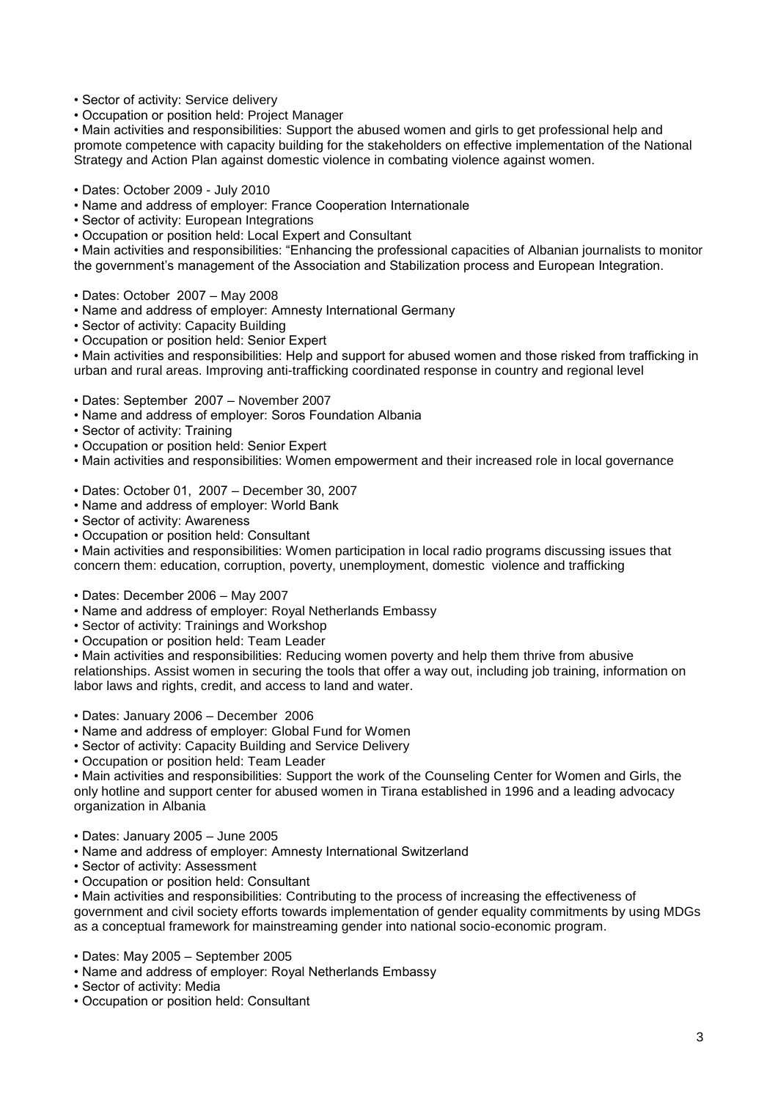• Sector of activity: Service delivery

• Occupation or position held: Project Manager

• Main activities and responsibilities: Support the abused women and girls to get professional help and promote competence with capacity building for the stakeholders on effective implementation of the National Strategy and Action Plan against domestic violence in combating violence against women.

- Dates: October 2009 July 2010
- Name and address of employer: France Cooperation Internationale
- Sector of activity: European Integrations
- Occupation or position held: Local Expert and Consultant

• Main activities and responsibilities: "Enhancing the professional capacities of Albanian journalists to monitor the government's management of the Association and Stabilization process and European Integration.

- Dates: October 2007 May 2008
- Name and address of employer: Amnesty International Germany
- Sector of activity: Capacity Building
- Occupation or position held: Senior Expert

• Main activities and responsibilities: Help and support for abused women and those risked from trafficking in urban and rural areas. Improving anti-trafficking coordinated response in country and regional level

- Dates: September 2007 November 2007
- Name and address of employer: Soros Foundation Albania
- Sector of activity: Training
- Occupation or position held: Senior Expert
- Main activities and responsibilities: Women empowerment and their increased role in local governance
- Dates: October 01, 2007 December 30, 2007
- Name and address of employer: World Bank
- Sector of activity: Awareness
- Occupation or position held: Consultant

• Main activities and responsibilities: Women participation in local radio programs discussing issues that concern them: education, corruption, poverty, unemployment, domestic violence and trafficking

- Dates: December 2006 May 2007
- Name and address of employer: Royal Netherlands Embassy
- Sector of activity: Trainings and Workshop
- Occupation or position held: Team Leader

• Main activities and responsibilities: Reducing women poverty and help them thrive from abusive relationships. Assist women in securing the tools that offer a way out, including job training, information on labor laws and rights, credit, and access to land and water.

- Dates: January 2006 December 2006
- Name and address of employer: Global Fund for Women
- Sector of activity: Capacity Building and Service Delivery
- Occupation or position held: Team Leader

• Main activities and responsibilities: Support the work of the Counseling Center for Women and Girls, the only hotline and support center for abused women in Tirana established in 1996 and a leading advocacy organization in Albania

- Dates: January 2005 June 2005
- Name and address of employer: Amnesty International Switzerland
- Sector of activity: Assessment
- Occupation or position held: Consultant

• Main activities and responsibilities: Contributing to the process of increasing the effectiveness of government and civil society efforts towards implementation of gender equality commitments by using MDGs as a conceptual framework for mainstreaming gender into national socio-economic program.

- Dates: May 2005 September 2005
- Name and address of employer: Royal Netherlands Embassy
- Sector of activity: Media
- Occupation or position held: Consultant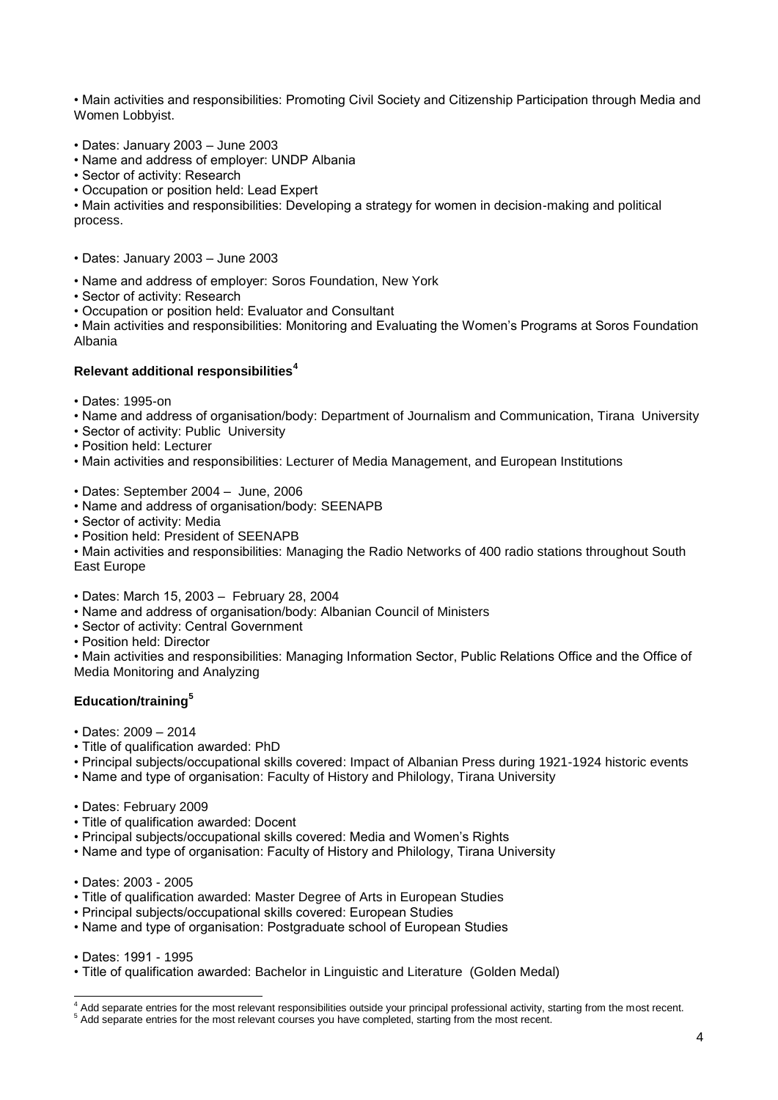• Main activities and responsibilities: Promoting Civil Society and Citizenship Participation through Media and Women Lobbyist.

- Dates: January 2003 June 2003
- Name and address of employer: UNDP Albania
- Sector of activity: Research
- Occupation or position held: Lead Expert

• Main activities and responsibilities: Developing a strategy for women in decision-making and political process.

- Dates: January 2003 June 2003
- Name and address of employer: Soros Foundation, New York
- Sector of activity: Research
- Occupation or position held: Evaluator and Consultant

• Main activities and responsibilities: Monitoring and Evaluating the Women's Programs at Soros Foundation Albania

#### **Relevant additional responsibilities<sup>4</sup>**

- Dates: 1995-on
- Name and address of organisation/body: Department of Journalism and Communication, Tirana University
- Sector of activity: Public University
- Position held: Lecturer
- Main activities and responsibilities: Lecturer of Media Management, and European Institutions
- Dates: September 2004 June, 2006
- Name and address of organisation/body: SEENAPB
- Sector of activity: Media
- Position held: President of SEENAPB

• Main activities and responsibilities: Managing the Radio Networks of 400 radio stations throughout South East Europe

- Dates: March 15, 2003 February 28, 2004
- Name and address of organisation/body: Albanian Council of Ministers
- Sector of activity: Central Government
- Position held: Director

• Main activities and responsibilities: Managing Information Sector, Public Relations Office and the Office of Media Monitoring and Analyzing

## **Education/training<sup>5</sup>**

- Dates: 2009 2014
- Title of qualification awarded: PhD
- Principal subjects/occupational skills covered: Impact of Albanian Press during 1921-1924 historic events
- Name and type of organisation: Faculty of History and Philology, Tirana University
- Dates: February 2009
- Title of qualification awarded: Docent
- Principal subjects/occupational skills covered: Media and Women's Rights
- Name and type of organisation: Faculty of History and Philology, Tirana University
- Dates: 2003 2005
- Title of qualification awarded: Master Degree of Arts in European Studies
- Principal subjects/occupational skills covered: European Studies
- Name and type of organisation: Postgraduate school of European Studies

• Dates: 1991 - 1995

1

• Title of qualification awarded: Bachelor in Linguistic and Literature (Golden Medal)

<sup>&</sup>lt;sup>4</sup> Add separate entries for the most relevant responsibilities outside your principal professional activity, starting from the most recent.

<sup>&</sup>lt;sup>5</sup> Add separate entries for the most relevant courses you have completed, starting from the most recent.